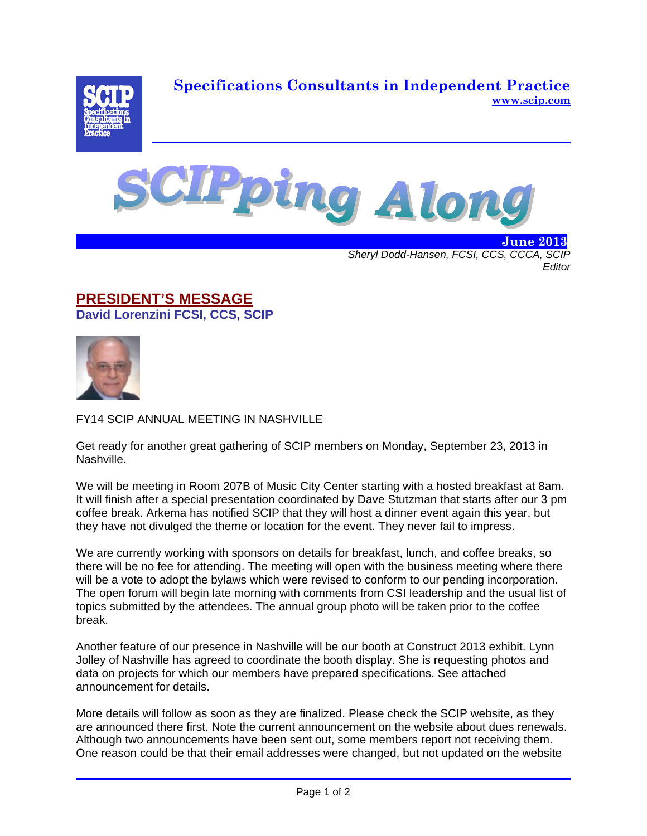**Specifications Consultants in Independent Practice www.scip.com**





 **June 2013** *Sheryl Dodd-Hansen, FCSI, CCS, CCCA, SCIP Editor* 

## **PRESIDENT'S MESSAGE David Lorenzini FCSI, CCS, SCIP**



FY14 SCIP ANNUAL MEETING IN NASHVILLE

Get ready for another great gathering of SCIP members on Monday, September 23, 2013 in Nashville.

We will be meeting in Room 207B of Music City Center starting with a hosted breakfast at 8am. It will finish after a special presentation coordinated by Dave Stutzman that starts after our 3 pm coffee break. Arkema has notified SCIP that they will host a dinner event again this year, but they have not divulged the theme or location for the event. They never fail to impress.

We are currently working with sponsors on details for breakfast, lunch, and coffee breaks, so there will be no fee for attending. The meeting will open with the business meeting where there will be a vote to adopt the bylaws which were revised to conform to our pending incorporation. The open forum will begin late morning with comments from CSI leadership and the usual list of topics submitted by the attendees. The annual group photo will be taken prior to the coffee break.

Another feature of our presence in Nashville will be our booth at Construct 2013 exhibit. Lynn Jolley of Nashville has agreed to coordinate the booth display. She is requesting photos and data on projects for which our members have prepared specifications. See attached announcement for details.

More details will follow as soon as they are finalized. Please check the SCIP website, as they are announced there first. Note the current announcement on the website about dues renewals. Although two announcements have been sent out, some members report not receiving them. One reason could be that their email addresses were changed, but not updated on the website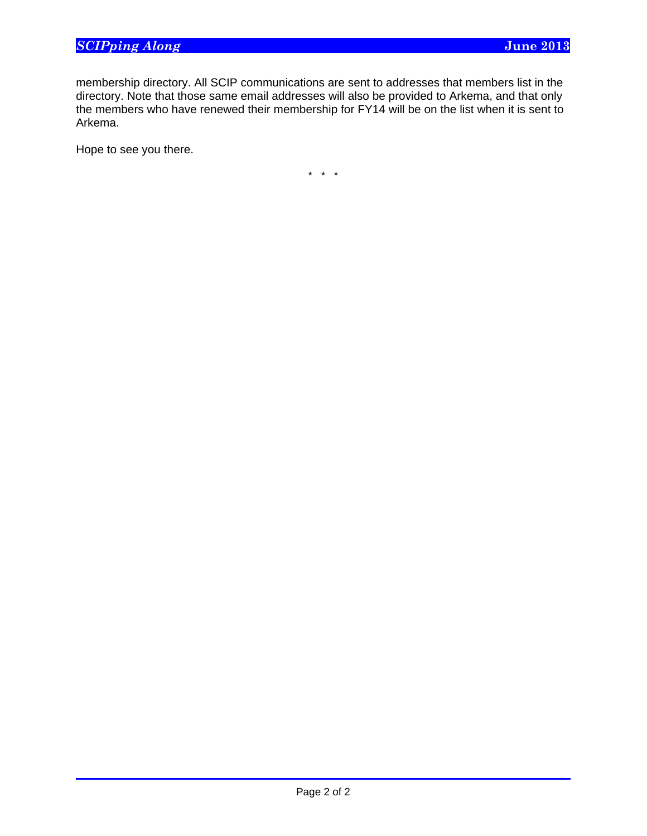membership directory. All SCIP communications are sent to addresses that members list in the directory. Note that those same email addresses will also be provided to Arkema, and that only the members who have renewed their membership for FY14 will be on the list when it is sent to Arkema.

Hope to see you there.

 $\overline{a}$ 

\* \* \*